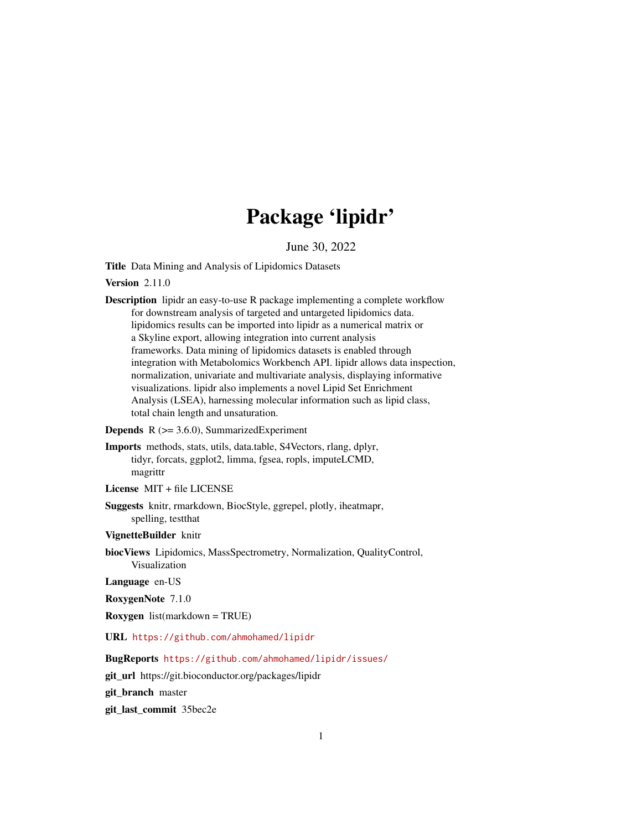# Package 'lipidr'

June 30, 2022

<span id="page-0-0"></span>Title Data Mining and Analysis of Lipidomics Datasets

Version 2.11.0

Description lipidr an easy-to-use R package implementing a complete workflow for downstream analysis of targeted and untargeted lipidomics data. lipidomics results can be imported into lipidr as a numerical matrix or a Skyline export, allowing integration into current analysis frameworks. Data mining of lipidomics datasets is enabled through integration with Metabolomics Workbench API. lipidr allows data inspection, normalization, univariate and multivariate analysis, displaying informative visualizations. lipidr also implements a novel Lipid Set Enrichment Analysis (LSEA), harnessing molecular information such as lipid class, total chain length and unsaturation.

**Depends**  $R$  ( $>= 3.6.0$ ), SummarizedExperiment

Imports methods, stats, utils, data.table, S4Vectors, rlang, dplyr, tidyr, forcats, ggplot2, limma, fgsea, ropls, imputeLCMD, magrittr

License MIT + file LICENSE

Suggests knitr, rmarkdown, BiocStyle, ggrepel, plotly, iheatmapr, spelling, testthat

VignetteBuilder knitr

biocViews Lipidomics, MassSpectrometry, Normalization, QualityControl, Visualization

Language en-US

RoxygenNote 7.1.0

Roxygen list(markdown = TRUE)

URL <https://github.com/ahmohamed/lipidr>

BugReports <https://github.com/ahmohamed/lipidr/issues/>

git\_url https://git.bioconductor.org/packages/lipidr

git\_branch master

git\_last\_commit 35bec2e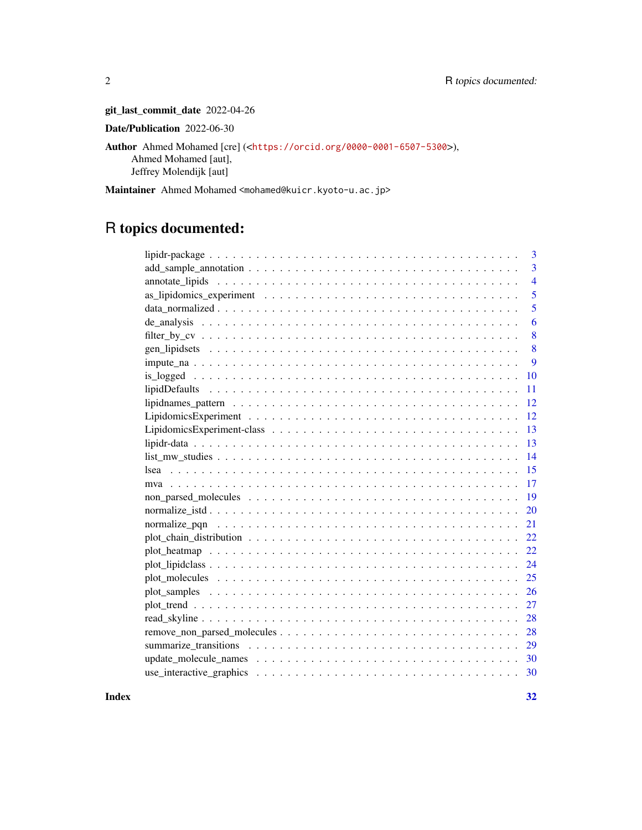git\_last\_commit\_date 2022-04-26

Date/Publication 2022-06-30

Author Ahmed Mohamed [cre] (<<https://orcid.org/0000-0001-6507-5300>>), Ahmed Mohamed [aut], Jeffrey Molendijk [aut]

Maintainer Ahmed Mohamed <mohamed@kuicr.kyoto-u.ac.jp>

# R topics documented:

| 3                                                                                                            |
|--------------------------------------------------------------------------------------------------------------|
| $\overline{3}$                                                                                               |
| $\overline{4}$                                                                                               |
| 5                                                                                                            |
| 5                                                                                                            |
| 6                                                                                                            |
| 8                                                                                                            |
| 8                                                                                                            |
| 9                                                                                                            |
| 10                                                                                                           |
| 11                                                                                                           |
| 12                                                                                                           |
| 12                                                                                                           |
| 13                                                                                                           |
| 13                                                                                                           |
| 14                                                                                                           |
| 15                                                                                                           |
| 17                                                                                                           |
| 19                                                                                                           |
| 20                                                                                                           |
| 21                                                                                                           |
| 22                                                                                                           |
| 22                                                                                                           |
| $plot\_lipidclass \ldots \ldots \ldots \ldots \ldots \ldots \ldots \ldots \ldots \ldots \ldots \ldots$<br>24 |
| 25                                                                                                           |
| 26                                                                                                           |
| 27                                                                                                           |
| 28                                                                                                           |
| 28                                                                                                           |
| 29                                                                                                           |
| 30                                                                                                           |
| 30                                                                                                           |

**Index** [32](#page-31-0)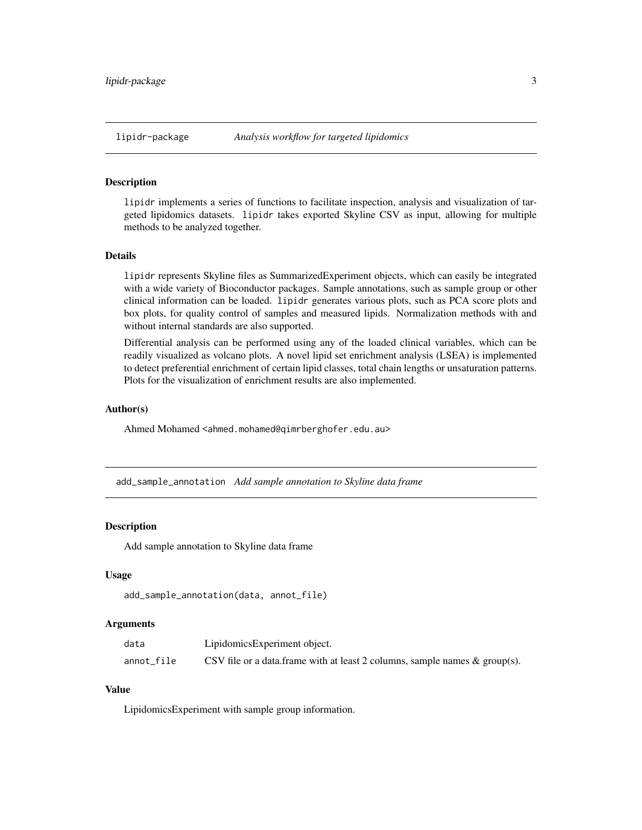<span id="page-2-0"></span>

lipidr implements a series of functions to facilitate inspection, analysis and visualization of targeted lipidomics datasets. lipidr takes exported Skyline CSV as input, allowing for multiple methods to be analyzed together.

#### Details

lipidr represents Skyline files as SummarizedExperiment objects, which can easily be integrated with a wide variety of Bioconductor packages. Sample annotations, such as sample group or other clinical information can be loaded. lipidr generates various plots, such as PCA score plots and box plots, for quality control of samples and measured lipids. Normalization methods with and without internal standards are also supported.

Differential analysis can be performed using any of the loaded clinical variables, which can be readily visualized as volcano plots. A novel lipid set enrichment analysis (LSEA) is implemented to detect preferential enrichment of certain lipid classes, total chain lengths or unsaturation patterns. Plots for the visualization of enrichment results are also implemented.

#### Author(s)

Ahmed Mohamed <ahmed.mohamed@qimrberghofer.edu.au>

add\_sample\_annotation *Add sample annotation to Skyline data frame*

#### **Description**

Add sample annotation to Skyline data frame

#### Usage

```
add_sample_annotation(data, annot_file)
```
#### **Arguments**

| data       | LipidomicsExperiment object.                                                  |
|------------|-------------------------------------------------------------------------------|
| annot file | CSV file or a data.frame with at least 2 columns, sample names $\&$ group(s). |

#### Value

LipidomicsExperiment with sample group information.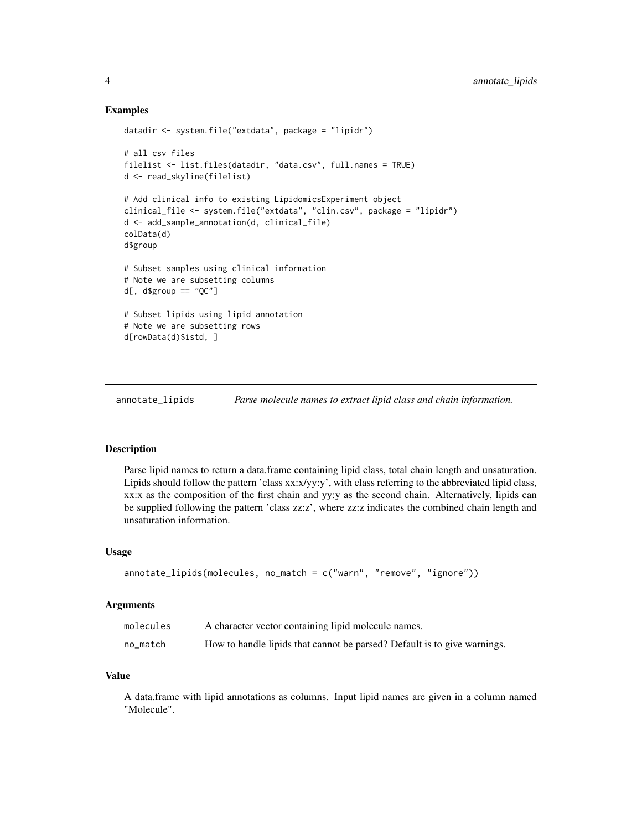#### Examples

```
datadir <- system.file("extdata", package = "lipidr")
# all csv files
filelist <- list.files(datadir, "data.csv", full.names = TRUE)
d <- read_skyline(filelist)
# Add clinical info to existing LipidomicsExperiment object
clinical_file <- system.file("extdata", "clin.csv", package = "lipidr")
d <- add_sample_annotation(d, clinical_file)
colData(d)
d$group
# Subset samples using clinical information
# Note we are subsetting columns
d[, d\group == "0C"]
# Subset lipids using lipid annotation
# Note we are subsetting rows
d[rowData(d)$istd, ]
```
annotate\_lipids *Parse molecule names to extract lipid class and chain information.*

### Description

Parse lipid names to return a data.frame containing lipid class, total chain length and unsaturation. Lipids should follow the pattern 'class xx:x/yy:y', with class referring to the abbreviated lipid class, xx:x as the composition of the first chain and yy:y as the second chain. Alternatively, lipids can be supplied following the pattern 'class zz:z', where zz:z indicates the combined chain length and unsaturation information.

#### Usage

```
annotate_lipids(molecules, no_match = c("warn", "remove", "ignore"))
```
#### Arguments

| molecules | A character vector containing lipid molecule names.                      |
|-----------|--------------------------------------------------------------------------|
| no match  | How to handle lipids that cannot be parsed? Default is to give warnings. |

### Value

A data.frame with lipid annotations as columns. Input lipid names are given in a column named "Molecule".

<span id="page-3-0"></span>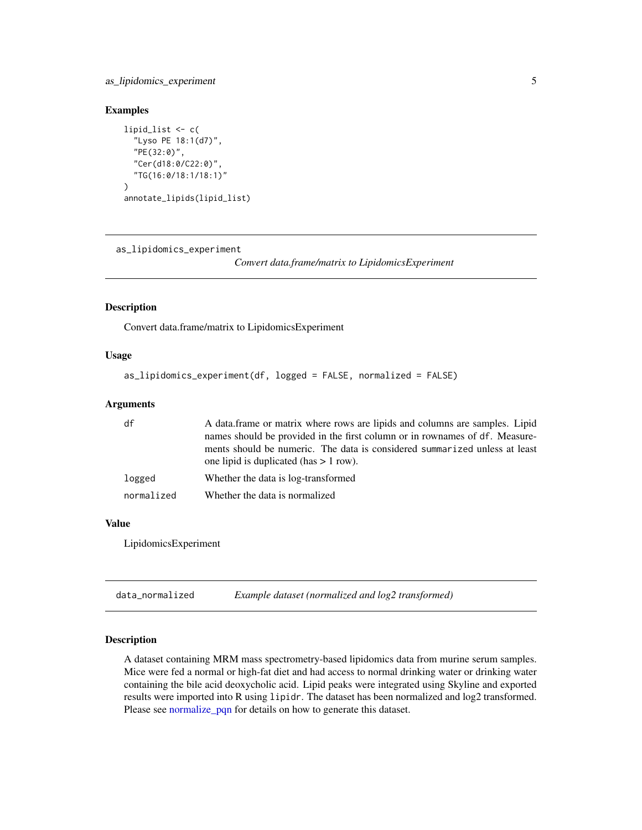### <span id="page-4-0"></span>as\_lipidomics\_experiment 5

### Examples

```
lipid_list <- c(
  "Lyso PE 18:1(d7)",
  "PE(32:0)",
  "Cer(d18:0/C22:0)",
  "TG(16:0/18:1/18:1)"
\lambdaannotate_lipids(lipid_list)
```
as\_lipidomics\_experiment

*Convert data.frame/matrix to LipidomicsExperiment*

#### Description

Convert data.frame/matrix to LipidomicsExperiment

#### Usage

```
as_lipidomics_experiment(df, logged = FALSE, normalized = FALSE)
```
### Arguments

| df         | A data frame or matrix where rows are lipids and columns are samples. Lipid                                            |
|------------|------------------------------------------------------------------------------------------------------------------------|
|            | names should be provided in the first column or in rownames of df. Measure-                                            |
|            | ments should be numeric. The data is considered summarized unless at least<br>one lipid is duplicated (has $> 1$ row). |
| logged     | Whether the data is log-transformed                                                                                    |
| normalized | Whether the data is normalized                                                                                         |

### Value

LipidomicsExperiment

<span id="page-4-1"></span>

| data_normalized | Example dataset (normalized and log2 transformed) |  |
|-----------------|---------------------------------------------------|--|
|-----------------|---------------------------------------------------|--|

### Description

A dataset containing MRM mass spectrometry-based lipidomics data from murine serum samples. Mice were fed a normal or high-fat diet and had access to normal drinking water or drinking water containing the bile acid deoxycholic acid. Lipid peaks were integrated using Skyline and exported results were imported into R using lipidr. The dataset has been normalized and log2 transformed. Please see [normalize\\_pqn](#page-20-1) for details on how to generate this dataset.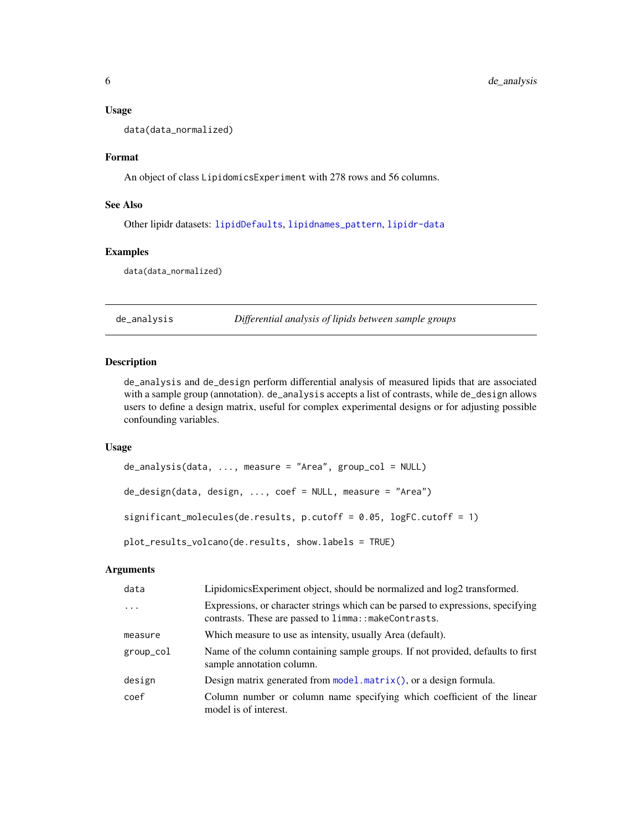#### Usage

data(data\_normalized)

#### Format

An object of class LipidomicsExperiment with 278 rows and 56 columns.

#### See Also

Other lipidr datasets: [lipidDefaults](#page-10-1), [lipidnames\\_pattern](#page-11-1), [lipidr-data](#page-12-1)

#### Examples

data(data\_normalized)

<span id="page-5-1"></span>de\_analysis *Differential analysis of lipids between sample groups*

### Description

de\_analysis and de\_design perform differential analysis of measured lipids that are associated with a sample group (annotation). de\_analysis accepts a list of contrasts, while de\_design allows users to define a design matrix, useful for complex experimental designs or for adjusting possible confounding variables.

#### Usage

```
de_analysis(data, ..., measure = "Area", group_col = NULL)
de_design(data, design, ..., coef = NULL, measure = "Area")
significant_molecules(de.results, p.cutoff = 0.05, logFC.cutoff = 1)
plot_results_volcano(de.results, show.labels = TRUE)
```
### Arguments

| data      | LipidomicsExperiment object, should be normalized and log2 transformed.                                                                   |
|-----------|-------------------------------------------------------------------------------------------------------------------------------------------|
| $\ddots$  | Expressions, or character strings which can be parsed to expressions, specifying<br>contrasts. These are passed to limma:: makeContrasts. |
| measure   | Which measure to use as intensity, usually Area (default).                                                                                |
| group_col | Name of the column containing sample groups. If not provided, defaults to first<br>sample annotation column.                              |
| design    | Design matrix generated from $model.matrix()$ , or a design formula.                                                                      |
| coef      | Column number or column name specifying which coefficient of the linear<br>model is of interest.                                          |

<span id="page-5-0"></span>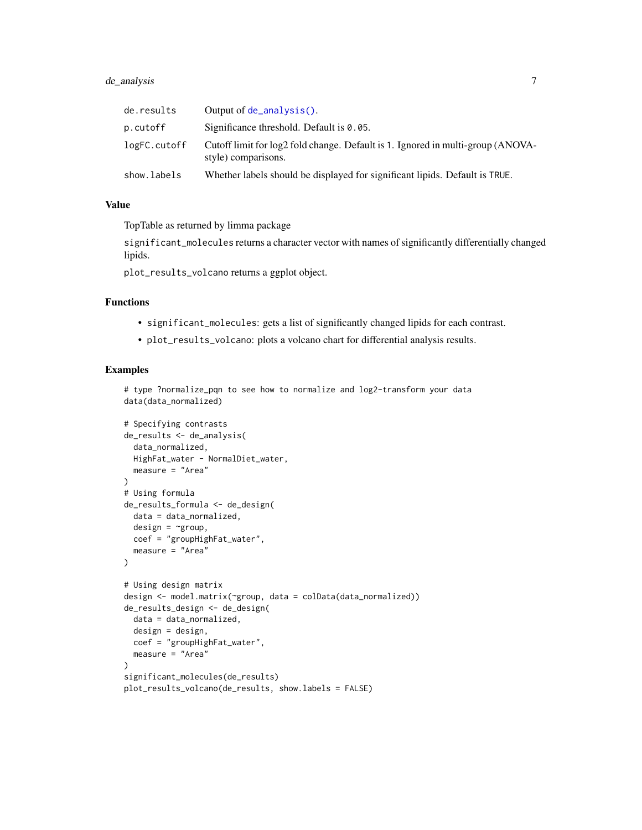### <span id="page-6-0"></span>de\_analysis 7

| de.results   | Output of $de\_analysis()$ .                                                                           |
|--------------|--------------------------------------------------------------------------------------------------------|
| p.cutoff     | Significance threshold. Default is $0.05$ .                                                            |
| logFC.cutoff | Cutoff limit for log2 fold change. Default is 1. Ignored in multi-group (ANOVA-<br>style) comparisons. |
| show.labels  | Whether labels should be displayed for significant lipids. Default is TRUE.                            |

#### Value

TopTable as returned by limma package

significant\_molecules returns a character vector with names of significantly differentially changed lipids.

plot\_results\_volcano returns a ggplot object.

### Functions

- significant\_molecules: gets a list of significantly changed lipids for each contrast.
- plot\_results\_volcano: plots a volcano chart for differential analysis results.

#### Examples

# type ?normalize\_pqn to see how to normalize and log2-transform your data data(data\_normalized)

```
# Specifying contrasts
de_results <- de_analysis(
  data_normalized,
  HighFat_water - NormalDiet_water,
  measure = "Area"
)
# Using formula
de_results_formula <- de_design(
 data = data_normalized,
 design = \simgroup,
 coef = "groupHighFat_water",
  measure = "Area"
\lambda# Using design matrix
design <- model.matrix(~group, data = colData(data_normalized))
de_results_design <- de_design(
  data = data_normalized,
  design = design,
  coef = "groupHighFat_water",
  measure = "Area"
)
significant_molecules(de_results)
plot_results_volcano(de_results, show.labels = FALSE)
```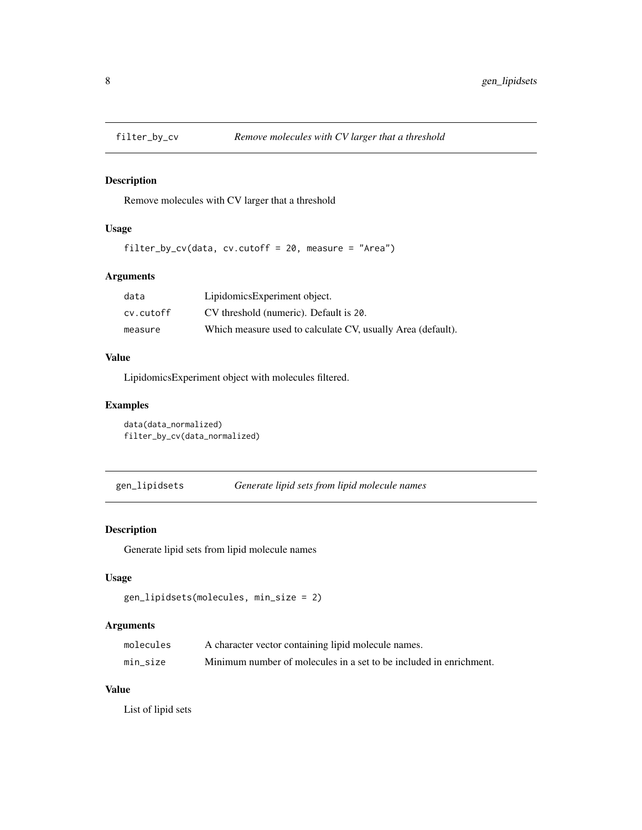<span id="page-7-0"></span>

Remove molecules with CV larger that a threshold

### Usage

```
filter_by_cv(data, cv.cutoff = 20, measure = "Area")
```
### Arguments

| data      | LipidomicsExperiment object.                                |
|-----------|-------------------------------------------------------------|
| cv.cutoff | CV threshold (numeric). Default is 20.                      |
| measure   | Which measure used to calculate CV, usually Area (default). |

### Value

LipidomicsExperiment object with molecules filtered.

### Examples

```
data(data_normalized)
filter_by_cv(data_normalized)
```
gen\_lipidsets *Generate lipid sets from lipid molecule names*

### **Description**

Generate lipid sets from lipid molecule names

### Usage

```
gen_lipidsets(molecules, min_size = 2)
```
### Arguments

| molecules | A character vector containing lipid molecule names.                |
|-----------|--------------------------------------------------------------------|
| min size  | Minimum number of molecules in a set to be included in enrichment. |

### Value

List of lipid sets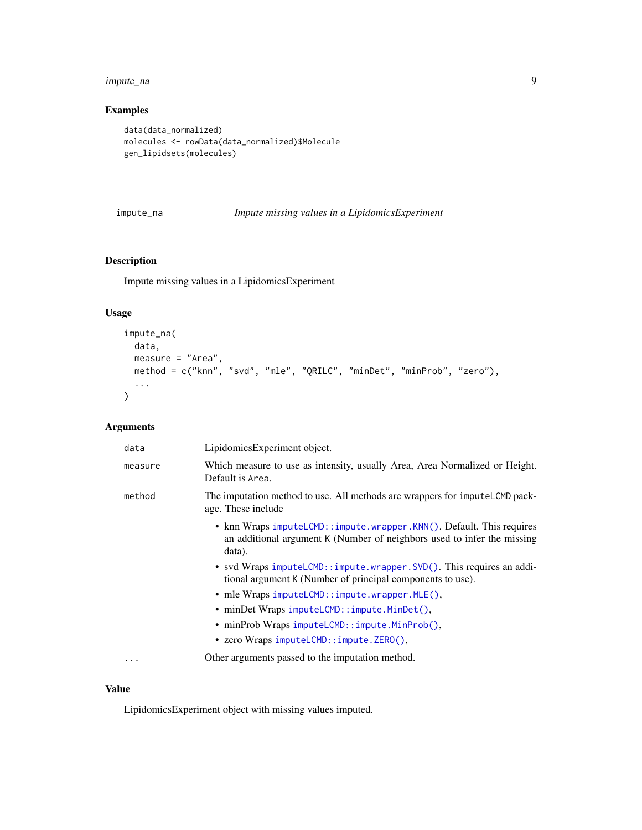### <span id="page-8-0"></span>impute\_na 9

### Examples

```
data(data_normalized)
molecules <- rowData(data_normalized)$Molecule
gen_lipidsets(molecules)
```
### impute\_na *Impute missing values in a LipidomicsExperiment*

### Description

Impute missing values in a LipidomicsExperiment

### Usage

```
impute_na(
 data,
 measure = "Area",
 method = c("knn", "svd", "mle", "QRILC", "minDet", "minProb", "zero"),
  ...
)
```
### Arguments

| data    | LipidomicsExperiment object.                                                                                                                              |
|---------|-----------------------------------------------------------------------------------------------------------------------------------------------------------|
| measure | Which measure to use as intensity, usually Area, Area Normalized or Height.<br>Default is Area.                                                           |
| method  | The imputation method to use. All methods are wrappers for imputel. CMD pack-<br>age. These include                                                       |
|         | • knn Wraps imputeLCMD::impute.wrapper.KNN(). Default. This requires<br>an additional argument K (Number of neighbors used to infer the missing<br>data). |
|         | • svd Wraps imputeLCMD:: impute.wrapper.SVD(). This requires an addi-<br>tional argument K (Number of principal components to use).                       |
|         | • mle Wraps $imputeLCMD::impute.wrapper.MLE(),$                                                                                                           |
|         | • minDet Wraps imputeLCMD::impute.MinDet(),                                                                                                               |
|         | • minProb Wraps imputeLCMD::impute.MinProb(),                                                                                                             |
|         | • zero Wraps imputeLCMD::impute.ZERO(),                                                                                                                   |
| .       | Other arguments passed to the imputation method.                                                                                                          |

### Value

LipidomicsExperiment object with missing values imputed.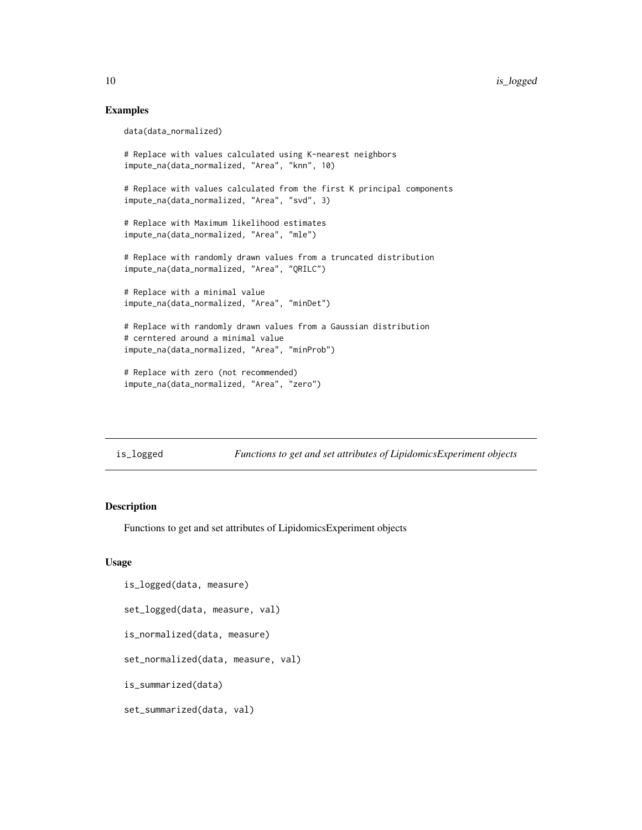### Examples

```
data(data_normalized)
# Replace with values calculated using K-nearest neighbors
impute_na(data_normalized, "Area", "knn", 10)
# Replace with values calculated from the first K principal components
impute_na(data_normalized, "Area", "svd", 3)
# Replace with Maximum likelihood estimates
impute_na(data_normalized, "Area", "mle")
# Replace with randomly drawn values from a truncated distribution
impute_na(data_normalized, "Area", "QRILC")
# Replace with a minimal value
impute_na(data_normalized, "Area", "minDet")
# Replace with randomly drawn values from a Gaussian distribution
# cerntered around a minimal value
impute_na(data_normalized, "Area", "minProb")
# Replace with zero (not recommended)
impute_na(data_normalized, "Area", "zero")
```
is\_logged *Functions to get and set attributes of LipidomicsExperiment objects*

### Description

Functions to get and set attributes of LipidomicsExperiment objects

#### Usage

```
is_logged(data, measure)
set_logged(data, measure, val)
is_normalized(data, measure)
set_normalized(data, measure, val)
is_summarized(data)
set_summarized(data, val)
```
<span id="page-9-0"></span>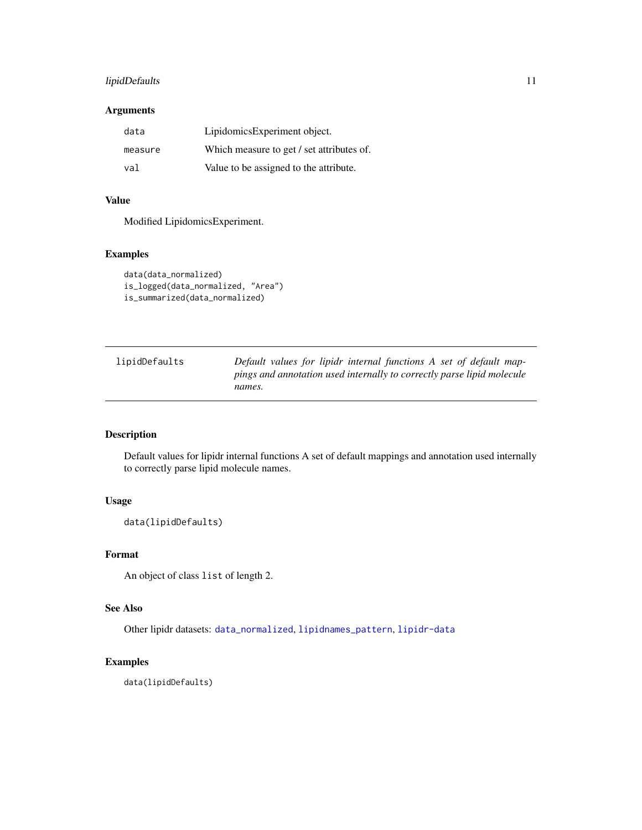### <span id="page-10-0"></span>lipidDefaults 11

### Arguments

| data    | LipidomicsExperiment object.              |
|---------|-------------------------------------------|
| measure | Which measure to get / set attributes of. |
| val     | Value to be assigned to the attribute.    |

### Value

Modified LipidomicsExperiment.

### Examples

```
data(data_normalized)
is_logged(data_normalized, "Area")
is_summarized(data_normalized)
```
<span id="page-10-1"></span>

| lipidDefaults | Default values for lipidr internal functions A set of default map-     |
|---------------|------------------------------------------------------------------------|
|               | pings and annotation used internally to correctly parse lipid molecule |
|               | names.                                                                 |

### Description

Default values for lipidr internal functions A set of default mappings and annotation used internally to correctly parse lipid molecule names.

### Usage

data(lipidDefaults)

### Format

An object of class list of length 2.

### See Also

Other lipidr datasets: [data\\_normalized](#page-4-1), [lipidnames\\_pattern](#page-11-1), [lipidr-data](#page-12-1)

#### Examples

data(lipidDefaults)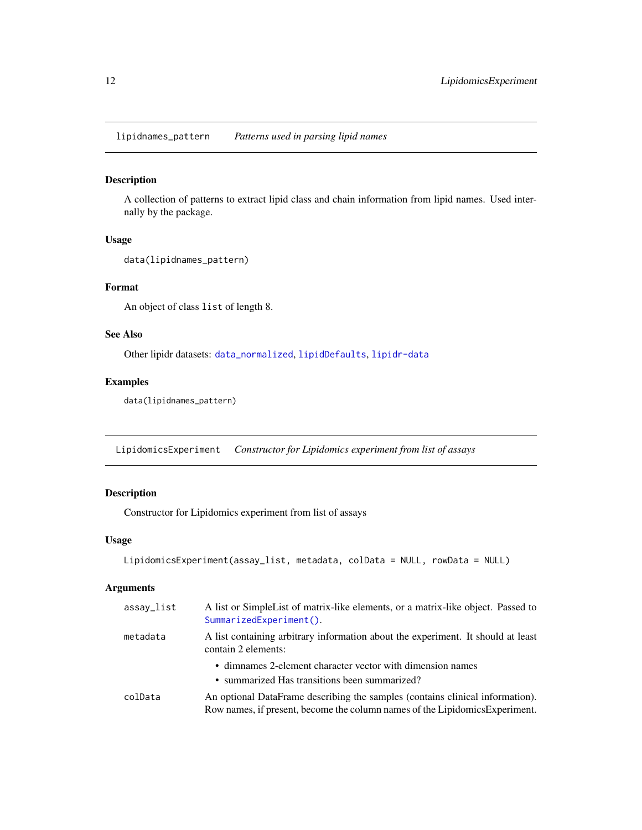<span id="page-11-1"></span><span id="page-11-0"></span>lipidnames\_pattern *Patterns used in parsing lipid names*

### Description

A collection of patterns to extract lipid class and chain information from lipid names. Used internally by the package.

#### Usage

```
data(lipidnames_pattern)
```
### Format

An object of class list of length 8.

### See Also

Other lipidr datasets: [data\\_normalized](#page-4-1), [lipidDefaults](#page-10-1), [lipidr-data](#page-12-1)

### Examples

```
data(lipidnames_pattern)
```
LipidomicsExperiment *Constructor for Lipidomics experiment from list of assays*

### Description

Constructor for Lipidomics experiment from list of assays

### Usage

```
LipidomicsExperiment(assay_list, metadata, colData = NULL, rowData = NULL)
```
### Arguments

| assay_list | A list or SimpleList of matrix-like elements, or a matrix-like object. Passed to<br>SummarizedExperiment().                                                   |
|------------|---------------------------------------------------------------------------------------------------------------------------------------------------------------|
| metadata   | A list containing arbitrary information about the experiment. It should at least<br>contain 2 elements:                                                       |
|            | • dimnames 2-element character vector with dimension names<br>• summarized Has transitions been summarized?                                                   |
| colData    | An optional DataFrame describing the samples (contains clinical information).<br>Row names, if present, become the column names of the Lipidomics Experiment. |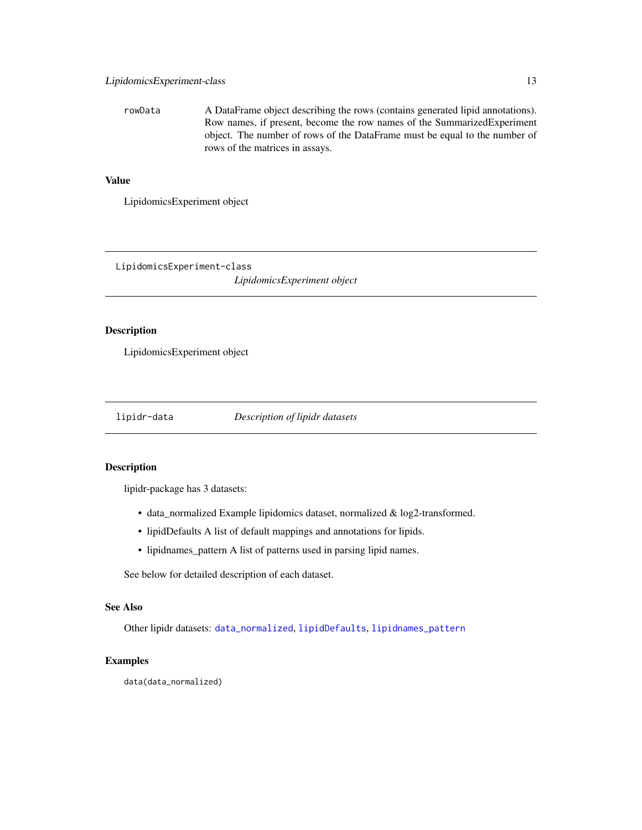<span id="page-12-0"></span>rowData A DataFrame object describing the rows (contains generated lipid annotations). Row names, if present, become the row names of the SummarizedExperiment object. The number of rows of the DataFrame must be equal to the number of rows of the matrices in assays.

### Value

LipidomicsExperiment object

LipidomicsExperiment-class

*LipidomicsExperiment object*

### Description

LipidomicsExperiment object

<span id="page-12-1"></span>

lipidr-data *Description of lipidr datasets*

### Description

lipidr-package has 3 datasets:

- data\_normalized Example lipidomics dataset, normalized & log2-transformed.
- lipidDefaults A list of default mappings and annotations for lipids.
- lipidnames\_pattern A list of patterns used in parsing lipid names.

See below for detailed description of each dataset.

#### See Also

Other lipidr datasets: [data\\_normalized](#page-4-1), [lipidDefaults](#page-10-1), [lipidnames\\_pattern](#page-11-1)

### Examples

data(data\_normalized)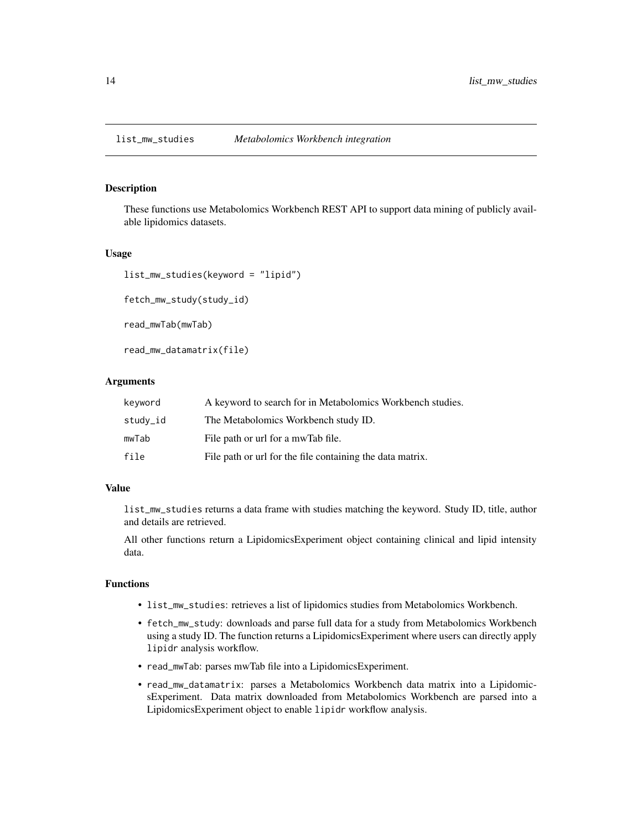<span id="page-13-0"></span>These functions use Metabolomics Workbench REST API to support data mining of publicly available lipidomics datasets.

#### Usage

```
list_mw_studies(keyword = "lipid")
fetch_mw_study(study_id)
```
read\_mwTab(mwTab)

read\_mw\_datamatrix(file)

### Arguments

| keyword  | A keyword to search for in Metabolomics Workbench studies. |
|----------|------------------------------------------------------------|
| study_id | The Metabolomics Workbench study ID.                       |
| mwTab    | File path or url for a mwTab file.                         |
| file     | File path or url for the file containing the data matrix.  |

#### Value

list\_mw\_studies returns a data frame with studies matching the keyword. Study ID, title, author and details are retrieved.

All other functions return a LipidomicsExperiment object containing clinical and lipid intensity data.

### Functions

- list\_mw\_studies: retrieves a list of lipidomics studies from Metabolomics Workbench.
- fetch\_mw\_study: downloads and parse full data for a study from Metabolomics Workbench using a study ID. The function returns a LipidomicsExperiment where users can directly apply lipidr analysis workflow.
- read\_mwTab: parses mwTab file into a LipidomicsExperiment.
- read\_mw\_datamatrix: parses a Metabolomics Workbench data matrix into a LipidomicsExperiment. Data matrix downloaded from Metabolomics Workbench are parsed into a LipidomicsExperiment object to enable lipidr workflow analysis.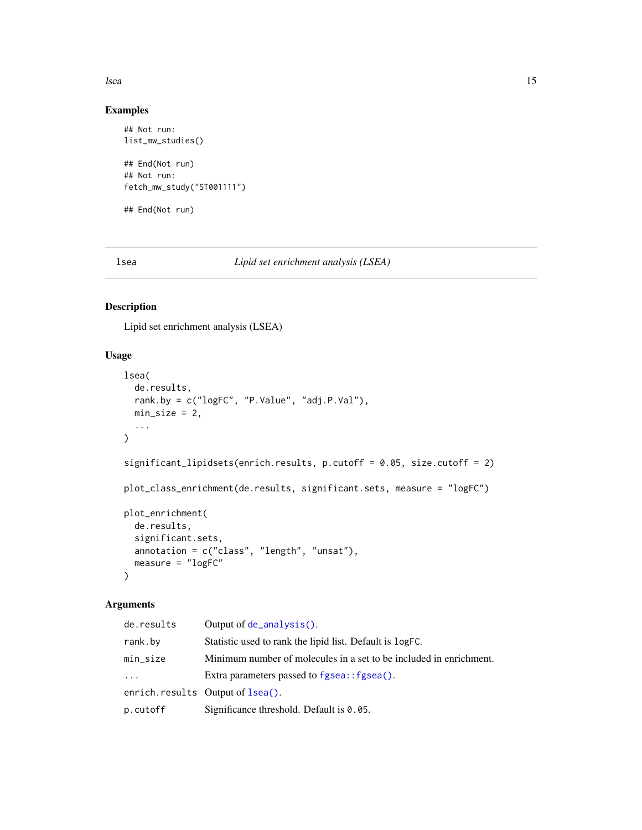<span id="page-14-0"></span>lsea complete the contract of the contract of the contract of the contract of the contract of the contract of the contract of the contract of the contract of the contract of the contract of the contract of the contract of

### Examples

```
## Not run:
list_mw_studies()
## End(Not run)
## Not run:
fetch_mw_study("ST001111")
```
## End(Not run)

<span id="page-14-1"></span>lsea *Lipid set enrichment analysis (LSEA)*

### <span id="page-14-2"></span>Description

Lipid set enrichment analysis (LSEA)

### Usage

```
lsea(
 de.results,
 rank.by = c("logFC", "P.Value", "adj.P.Val"),
 min\_size = 2,
  ...
\lambdasignificant_lipidsets(enrich.results, p.cutoff = 0.05, size.cutoff = 2)
plot_class_enrichment(de.results, significant.sets, measure = "logFC")
plot_enrichment(
 de.results,
  significant.sets,
 annotation = c("class", "length", "unsat"),
 measure = "logFC"
\mathcal{E}
```
### Arguments

| de.results | Output of $de\_analysis()$ .                                       |
|------------|--------------------------------------------------------------------|
| rank.by    | Statistic used to rank the lipid list. Default is logFC.           |
| min_size   | Minimum number of molecules in a set to be included in enrichment. |
| $\ddots$ . | Extra parameters passed to fgsea:: fgsea().                        |
|            | enrich.results Output of Isea().                                   |
| p.cutoff   | Significance threshold. Default is $0.05$ .                        |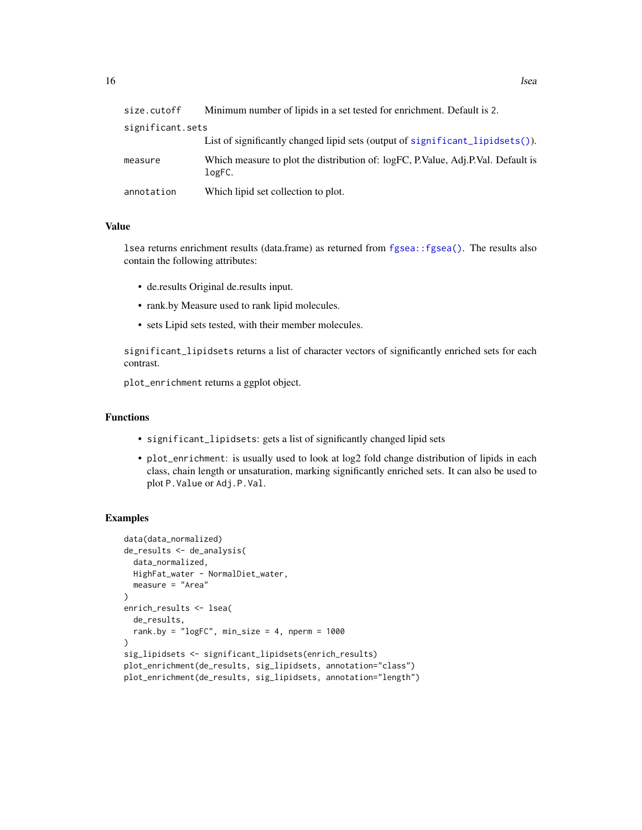<span id="page-15-0"></span>

| size.cutoff      | Minimum number of lipids in a set tested for enrichment. Default is 2.                     |
|------------------|--------------------------------------------------------------------------------------------|
| significant.sets |                                                                                            |
|                  | List of significantly changed lipid sets (output of significant_lipidsets()).              |
| measure          | Which measure to plot the distribution of: logFC, P.Value, Adj.P.Val. Default is<br>logFC. |
| annotation       | Which lipid set collection to plot.                                                        |

#### Value

lsea returns enrichment results (data.frame) as returned from [fgsea::fgsea\(\)](#page-0-0). The results also contain the following attributes:

- de.results Original de.results input.
- rank.by Measure used to rank lipid molecules.
- sets Lipid sets tested, with their member molecules.

significant\_lipidsets returns a list of character vectors of significantly enriched sets for each contrast.

plot\_enrichment returns a ggplot object.

### Functions

- significant\_lipidsets: gets a list of significantly changed lipid sets
- plot\_enrichment: is usually used to look at log2 fold change distribution of lipids in each class, chain length or unsaturation, marking significantly enriched sets. It can also be used to plot P.Value or Adj.P.Val.

```
data(data_normalized)
de_results <- de_analysis(
 data_normalized,
 HighFat_water - NormalDiet_water,
 measure = "Area"
)
enrich_results <- lsea(
 de_results,
 rank.by = "logFC", min\_size = 4, nperm = 1000)
sig_lipidsets <- significant_lipidsets(enrich_results)
plot_enrichment(de_results, sig_lipidsets, annotation="class")
plot_enrichment(de_results, sig_lipidsets, annotation="length")
```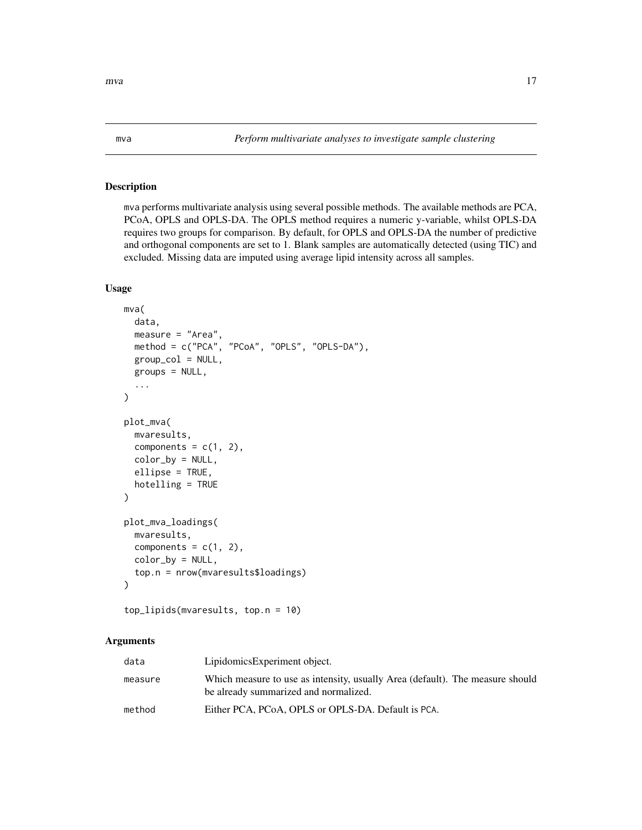<span id="page-16-1"></span><span id="page-16-0"></span>mva performs multivariate analysis using several possible methods. The available methods are PCA, PCoA, OPLS and OPLS-DA. The OPLS method requires a numeric y-variable, whilst OPLS-DA requires two groups for comparison. By default, for OPLS and OPLS-DA the number of predictive and orthogonal components are set to 1. Blank samples are automatically detected (using TIC) and excluded. Missing data are imputed using average lipid intensity across all samples.

### Usage

```
mva(
  data,
  measure = "Area",
 method = c("PCA", "PCoA", "OPLS", "OPLS-DA"),
  group\_col = NULL,
  groups = NULL,
  ...
\mathcal{E}plot_mva(
  mvaresults,
  components = c(1, 2),
  color_by = NULL,
  ellipse = TRUE,
  hotelling = TRUE
)
plot_mva_loadings(
  mvaresults,
  components = c(1, 2),
  color_by = NULL,
  top.n = nrow(mvaresults$loadings)
\lambda
```

```
top_lipids(mvaresults, top.n = 10)
```
### Arguments

| data    | LipidomicsExperiment object.                                                                                           |
|---------|------------------------------------------------------------------------------------------------------------------------|
| measure | Which measure to use as intensity, usually Area (default). The measure should<br>be already summarized and normalized. |
| method  | Either PCA, PCoA, OPLS or OPLS-DA. Default is PCA.                                                                     |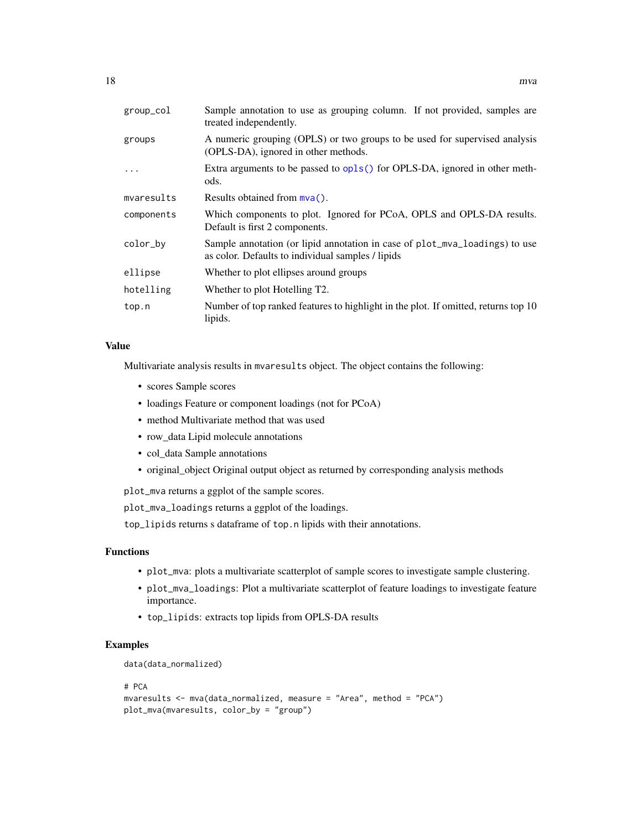<span id="page-17-0"></span>

| group_col  | Sample annotation to use as grouping column. If not provided, samples are<br>treated independently.                              |
|------------|----------------------------------------------------------------------------------------------------------------------------------|
| groups     | A numeric grouping (OPLS) or two groups to be used for supervised analysis<br>(OPLS-DA), ignored in other methods.               |
|            | Extra arguments to be passed to opls() for OPLS-DA, ignored in other meth-<br>ods.                                               |
| mvaresults | Results obtained from $mva()$ .                                                                                                  |
| components | Which components to plot. Ignored for PCoA, OPLS and OPLS-DA results.<br>Default is first 2 components.                          |
| color_by   | Sample annotation (or lipid annotation in case of plot_mva_loadings) to use<br>as color. Defaults to individual samples / lipids |
| ellipse    | Whether to plot ellipses around groups                                                                                           |
| hotelling  | Whether to plot Hotelling T2.                                                                                                    |
| top.n      | Number of top ranked features to highlight in the plot. If omitted, returns top 10<br>lipids.                                    |

#### Value

Multivariate analysis results in mvaresults object. The object contains the following:

- scores Sample scores
- loadings Feature or component loadings (not for PCoA)
- method Multivariate method that was used
- row\_data Lipid molecule annotations
- col\_data Sample annotations
- original\_object Original output object as returned by corresponding analysis methods

plot\_mva returns a ggplot of the sample scores.

plot\_mva\_loadings returns a ggplot of the loadings.

top\_lipids returns s dataframe of top.n lipids with their annotations.

### Functions

- plot\_mva: plots a multivariate scatterplot of sample scores to investigate sample clustering.
- plot\_mva\_loadings: Plot a multivariate scatterplot of feature loadings to investigate feature importance.
- top\_lipids: extracts top lipids from OPLS-DA results

### Examples

```
data(data_normalized)
```
#### # PCA

```
mvaresults <- mva(data_normalized, measure = "Area", method = "PCA")
plot_mva(mvaresults, color_by = "group")
```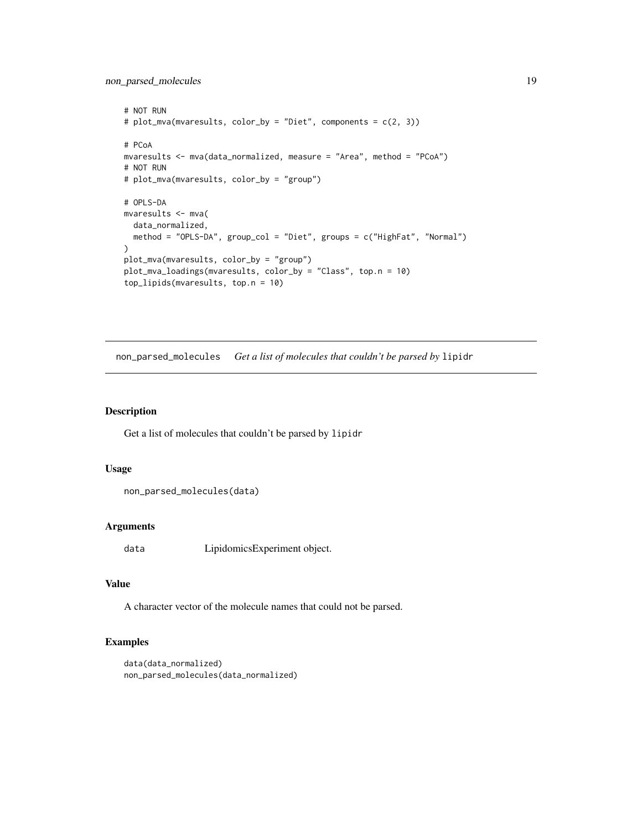<span id="page-18-0"></span>non\_parsed\_molecules 19

```
# NOT RUN
# plot_mva(mvaresults, color_by = "Diet", components = c(2, 3))
# PCoA
mvaresults <- mva(data_normalized, measure = "Area", method = "PCoA")
# NOT RUN
# plot_mva(mvaresults, color_by = "group")
# OPLS-DA
mvaresults <- mva(
  data_normalized,
  method = "OPLS-DA", group_col = "Diet", groups = c("HighFat", "Normal")
)
plot_mva(mvaresults, color_by = "group")
plot_mva_loadings(mvaresults, color_by = "Class", top.n = 10)
top_lipids(mvaresults, top.n = 10)
```
non\_parsed\_molecules *Get a list of molecules that couldn't be parsed by* lipidr

#### Description

Get a list of molecules that couldn't be parsed by lipidr

### Usage

```
non_parsed_molecules(data)
```
### Arguments

data LipidomicsExperiment object.

### Value

A character vector of the molecule names that could not be parsed.

```
data(data_normalized)
non_parsed_molecules(data_normalized)
```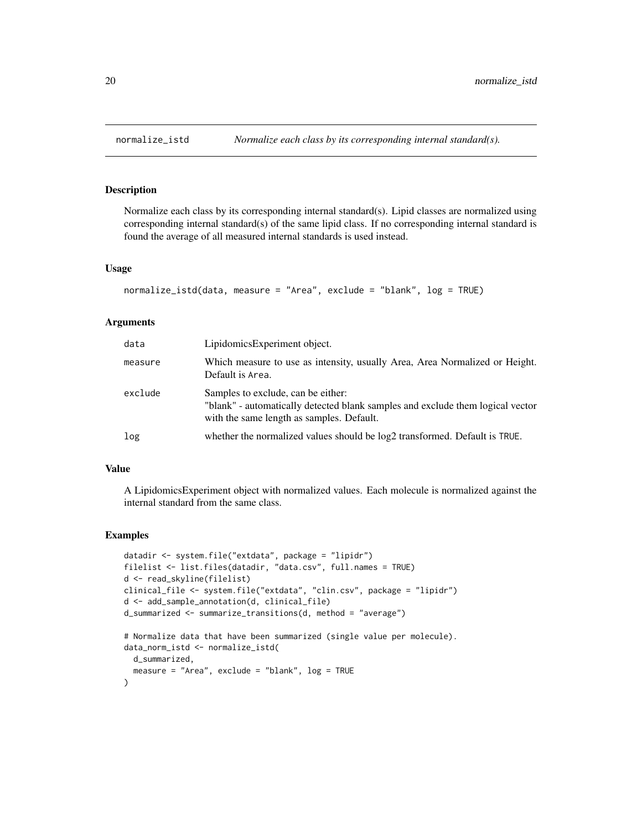<span id="page-19-0"></span>

Normalize each class by its corresponding internal standard(s). Lipid classes are normalized using corresponding internal standard(s) of the same lipid class. If no corresponding internal standard is found the average of all measured internal standards is used instead.

#### Usage

```
normalize_istd(data, measure = "Area", exclude = "blank", log = TRUE)
```
### Arguments

| data    | LipidomicsExperiment object.                                                                                                                                      |
|---------|-------------------------------------------------------------------------------------------------------------------------------------------------------------------|
| measure | Which measure to use as intensity, usually Area, Area Normalized or Height.<br>Default is Area.                                                                   |
| exclude | Samples to exclude, can be either:<br>"blank" - automatically detected blank samples and exclude them logical vector<br>with the same length as samples. Default. |
| log     | whether the normalized values should be $log2$ transformed. Default is TRUE.                                                                                      |

### Value

A LipidomicsExperiment object with normalized values. Each molecule is normalized against the internal standard from the same class.

```
datadir <- system.file("extdata", package = "lipidr")
filelist <- list.files(datadir, "data.csv", full.names = TRUE)
d <- read_skyline(filelist)
clinical_file <- system.file("extdata", "clin.csv", package = "lipidr")
d <- add_sample_annotation(d, clinical_file)
d_summarized <- summarize_transitions(d, method = "average")
# Normalize data that have been summarized (single value per molecule).
data_norm_istd <- normalize_istd(
  d_summarized,
  measure = "Area", exclude = "blank", log = TRUE
)
```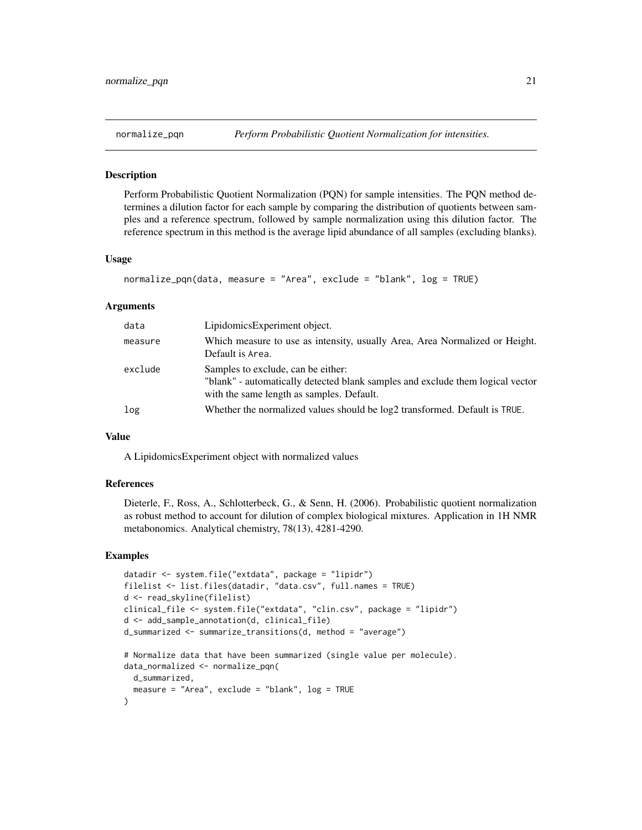<span id="page-20-1"></span><span id="page-20-0"></span>

Perform Probabilistic Quotient Normalization (PQN) for sample intensities. The PQN method determines a dilution factor for each sample by comparing the distribution of quotients between samples and a reference spectrum, followed by sample normalization using this dilution factor. The reference spectrum in this method is the average lipid abundance of all samples (excluding blanks).

#### Usage

```
normalize_pqn(data, measure = "Area", exclude = "blank", log = TRUE)
```
#### Arguments

| data    | LipidomicsExperiment object.                                                                                                                                      |
|---------|-------------------------------------------------------------------------------------------------------------------------------------------------------------------|
| measure | Which measure to use as intensity, usually Area, Area Normalized or Height.<br>Default is Area.                                                                   |
| exclude | Samples to exclude, can be either:<br>"blank" - automatically detected blank samples and exclude them logical vector<br>with the same length as samples. Default. |
| log     | Whether the normalized values should be log2 transformed. Default is TRUE.                                                                                        |

#### Value

A LipidomicsExperiment object with normalized values

#### References

Dieterle, F., Ross, A., Schlotterbeck, G., & Senn, H. (2006). Probabilistic quotient normalization as robust method to account for dilution of complex biological mixtures. Application in 1H NMR metabonomics. Analytical chemistry, 78(13), 4281-4290.

```
datadir <- system.file("extdata", package = "lipidr")
filelist <- list.files(datadir, "data.csv", full.names = TRUE)
d <- read_skyline(filelist)
clinical_file <- system.file("extdata", "clin.csv", package = "lipidr")
d <- add_sample_annotation(d, clinical_file)
d_summarized <- summarize_transitions(d, method = "average")
# Normalize data that have been summarized (single value per molecule).
data_normalized <- normalize_pqn(
 d_summarized,
 measure = "Area", exclude = "blank", log = TRUE
)
```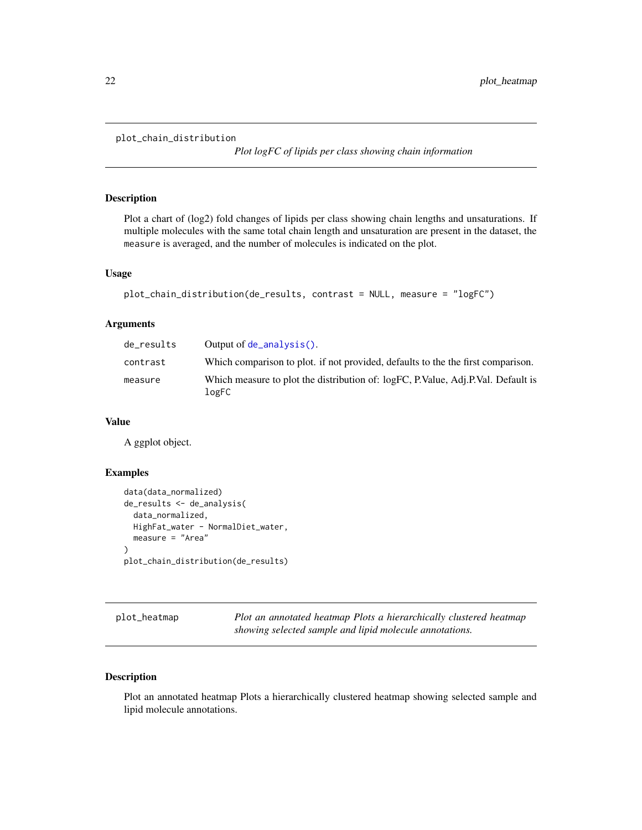```
plot_chain_distribution
```
*Plot logFC of lipids per class showing chain information*

#### Description

Plot a chart of (log2) fold changes of lipids per class showing chain lengths and unsaturations. If multiple molecules with the same total chain length and unsaturation are present in the dataset, the measure is averaged, and the number of molecules is indicated on the plot.

#### Usage

```
plot_chain_distribution(de_results, contrast = NULL, measure = "logFC")
```
### Arguments

| de_results | Output of $de\_analysis()$ .                                                              |
|------------|-------------------------------------------------------------------------------------------|
| contrast   | Which comparison to plot. if not provided, defaults to the the first comparison.          |
| measure    | Which measure to plot the distribution of: logFC, P.Value, Adj.P.Val. Default is<br>logFC |

#### Value

A ggplot object.

### Examples

```
data(data_normalized)
de_results <- de_analysis(
 data_normalized,
 HighFat_water - NormalDiet_water,
 measure = "Area"
)
plot_chain_distribution(de_results)
```
plot\_heatmap *Plot an annotated heatmap Plots a hierarchically clustered heatmap showing selected sample and lipid molecule annotations.*

### Description

Plot an annotated heatmap Plots a hierarchically clustered heatmap showing selected sample and lipid molecule annotations.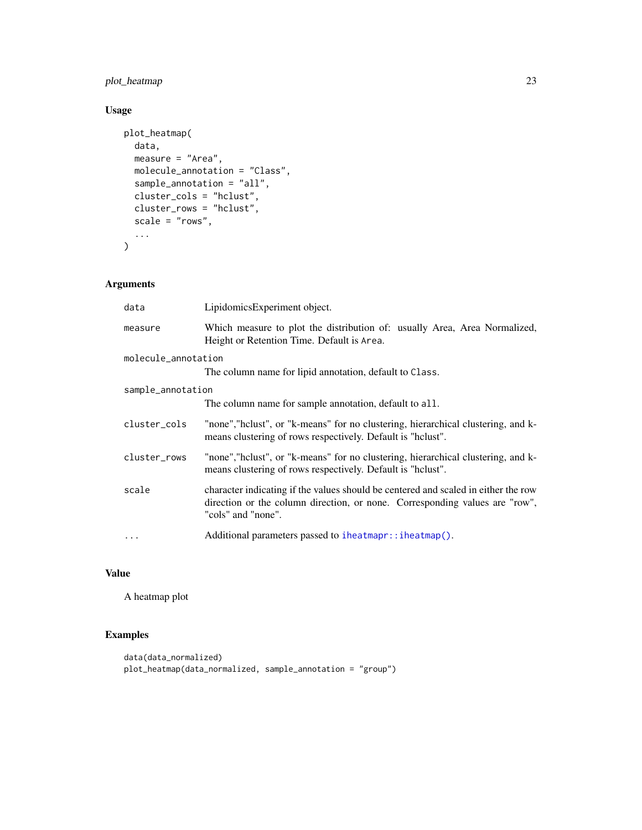### <span id="page-22-0"></span>plot\_heatmap 23

## Usage

```
plot_heatmap(
  data,
  measure = "Area",
  molecule_annotation = "Class",
  sample_annotation = "all",
  cluster_cols = "hclust",
  cluster_rows = "hclust",
  scale = "rows",...
\mathcal{L}
```
### Arguments

| data                | LipidomicsExperiment object.                                                                                                                                                            |
|---------------------|-----------------------------------------------------------------------------------------------------------------------------------------------------------------------------------------|
| measure             | Which measure to plot the distribution of: usually Area, Area Normalized,<br>Height or Retention Time. Default is Area.                                                                 |
| molecule_annotation |                                                                                                                                                                                         |
|                     | The column name for lipid annotation, default to Class.                                                                                                                                 |
| sample_annotation   |                                                                                                                                                                                         |
|                     | The column name for sample annotation, default to all.                                                                                                                                  |
| cluster_cols        | "none", "hclust", or "k-means" for no clustering, hierarchical clustering, and k-<br>means clustering of rows respectively. Default is "holust".                                        |
| cluster_rows        | "none", "helust", or "k-means" for no clustering, hierarchical clustering, and k-<br>means clustering of rows respectively. Default is "holust".                                        |
| scale               | character indicating if the values should be centered and scaled in either the row<br>direction or the column direction, or none. Corresponding values are "row",<br>"cols" and "none". |
| $\cdots$            | Additional parameters passed to iheatmapr:: iheatmap().                                                                                                                                 |

### Value

A heatmap plot

```
data(data_normalized)
plot_heatmap(data_normalized, sample_annotation = "group")
```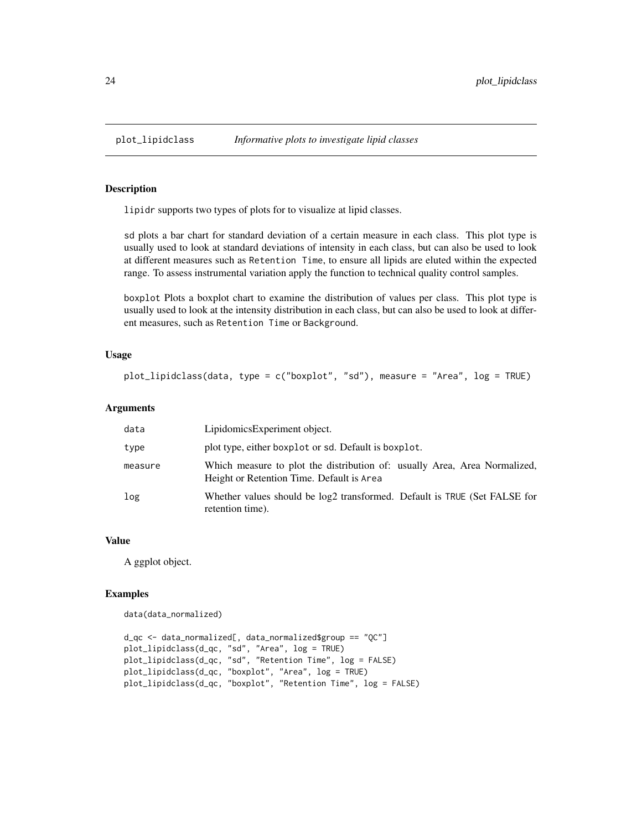<span id="page-23-0"></span>

lipidr supports two types of plots for to visualize at lipid classes.

sd plots a bar chart for standard deviation of a certain measure in each class. This plot type is usually used to look at standard deviations of intensity in each class, but can also be used to look at different measures such as Retention Time, to ensure all lipids are eluted within the expected range. To assess instrumental variation apply the function to technical quality control samples.

boxplot Plots a boxplot chart to examine the distribution of values per class. This plot type is usually used to look at the intensity distribution in each class, but can also be used to look at different measures, such as Retention Time or Background.

#### Usage

```
plot_lipidclass(data, type = c("boxplot", "sd"), measure = "Area", log = TRUE)
```
#### **Arguments**

| data    | LipidomicsExperiment object.                                                                                           |
|---------|------------------------------------------------------------------------------------------------------------------------|
| type    | plot type, either boxplot or sd. Default is boxplot.                                                                   |
| measure | Which measure to plot the distribution of: usually Area, Area Normalized,<br>Height or Retention Time. Default is Area |
| log     | Whether values should be log2 transformed. Default is TRUE (Set FALSE for<br>retention time).                          |

### Value

A ggplot object.

#### Examples

data(data\_normalized)

```
d_qc <- data_normalized[, data_normalized$group == "QC"]
plot_lipidclass(d_qc, "sd", "Area", log = TRUE)
plot_lipidclass(d_qc, "sd", "Retention Time", log = FALSE)
plot_lipidclass(d_qc, "boxplot", "Area", log = TRUE)
plot_lipidclass(d_qc, "boxplot", "Retention Time", log = FALSE)
```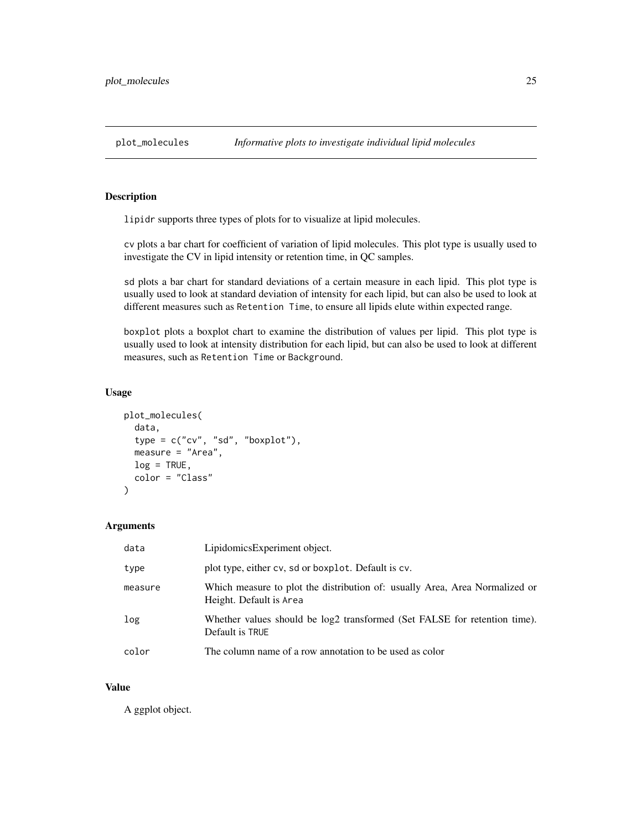<span id="page-24-0"></span>

lipidr supports three types of plots for to visualize at lipid molecules.

cv plots a bar chart for coefficient of variation of lipid molecules. This plot type is usually used to investigate the CV in lipid intensity or retention time, in QC samples.

sd plots a bar chart for standard deviations of a certain measure in each lipid. This plot type is usually used to look at standard deviation of intensity for each lipid, but can also be used to look at different measures such as Retention Time, to ensure all lipids elute within expected range.

boxplot plots a boxplot chart to examine the distribution of values per lipid. This plot type is usually used to look at intensity distribution for each lipid, but can also be used to look at different measures, such as Retention Time or Background.

#### Usage

```
plot_molecules(
  data,
  type = c("cv", "sd", "boxplot"),
  measure = "Area",
  log = TRUE,color = "Class"
\mathcal{E}
```
#### Arguments

| data    | LipidomicsExperiment object.                                                                           |
|---------|--------------------------------------------------------------------------------------------------------|
| type    | plot type, either cv, sd or boxplot. Default is cv.                                                    |
| measure | Which measure to plot the distribution of: usually Area, Area Normalized or<br>Height. Default is Area |
| log     | Whether values should be log2 transformed (Set FALSE for retention time).<br>Default is TRUE           |
| color   | The column name of a row annotation to be used as color                                                |

### Value

A ggplot object.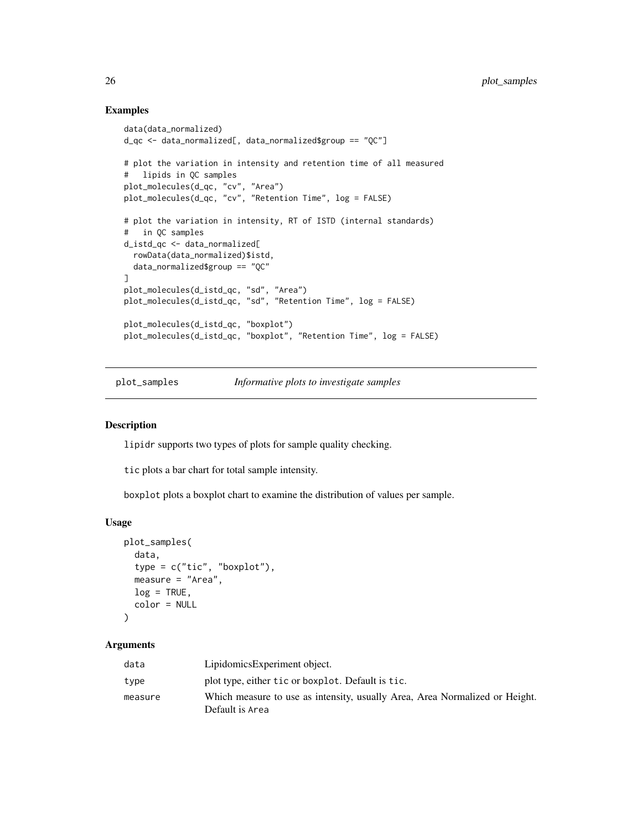### Examples

```
data(data_normalized)
d_qc <- data_normalized[, data_normalized$group == "QC"]
# plot the variation in intensity and retention time of all measured
# lipids in QC samples
plot_molecules(d_qc, "cv", "Area")
plot_molecules(d_qc, "cv", "Retention Time", log = FALSE)
# plot the variation in intensity, RT of ISTD (internal standards)
# in QC samples
d_istd_qc <- data_normalized[
 rowData(data_normalized)$istd,
 data_normalized$group == "QC"
\mathbf{I}plot_molecules(d_istd_qc, "sd", "Area")
plot_molecules(d_istd_qc, "sd", "Retention Time", log = FALSE)
plot_molecules(d_istd_qc, "boxplot")
plot_molecules(d_istd_qc, "boxplot", "Retention Time", log = FALSE)
```
plot\_samples *Informative plots to investigate samples*

#### Description

lipidr supports two types of plots for sample quality checking.

tic plots a bar chart for total sample intensity.

boxplot plots a boxplot chart to examine the distribution of values per sample.

#### Usage

```
plot_samples(
  data,
  type = c("tic", "boxplot"),measure = "Area",
 log = TRUE,color = NULL
)
```
## Arguments

| data    | LipidomicsExperiment object.                                                                   |
|---------|------------------------------------------------------------------------------------------------|
| type    | plot type, either tic or boxplot. Default is tic.                                              |
| measure | Which measure to use as intensity, usually Area, Area Normalized or Height.<br>Default is Area |

<span id="page-25-0"></span>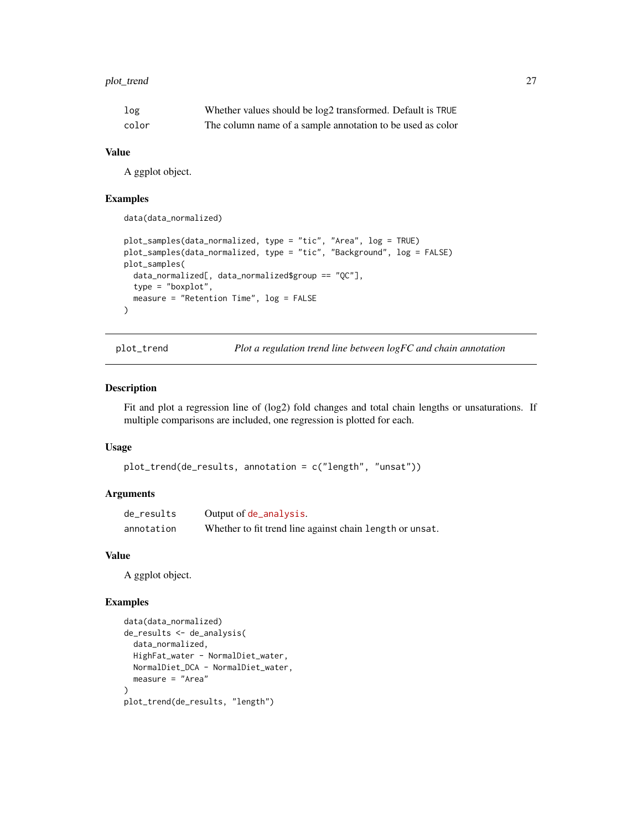### <span id="page-26-0"></span>plot\_trend 27

| log   | Whether values should be log2 transformed. Default is TRUE |
|-------|------------------------------------------------------------|
| color | The column name of a sample annotation to be used as color |

#### Value

A ggplot object.

#### Examples

```
data(data_normalized)
```

```
plot_samples(data_normalized, type = "tic", "Area", log = TRUE)
plot_samples(data_normalized, type = "tic", "Background", log = FALSE)
plot_samples(
  data_normalized[, data_normalized$group == "QC"],
  type = "boxplot",
  measure = "Retention Time", log = FALSE
\mathcal{L}
```
plot\_trend *Plot a regulation trend line between logFC and chain annotation*

### Description

Fit and plot a regression line of (log2) fold changes and total chain lengths or unsaturations. If multiple comparisons are included, one regression is plotted for each.

#### Usage

```
plot_trend(de_results, annotation = c("length", "unsat"))
```
### Arguments

| de_results | Output of de_analysis.                                   |
|------------|----------------------------------------------------------|
| annotation | Whether to fit trend line against chain length or unsat. |

#### Value

A ggplot object.

```
data(data_normalized)
de_results <- de_analysis(
  data_normalized,
  HighFat_water - NormalDiet_water,
  NormalDiet_DCA - NormalDiet_water,
  measure = "Area"
\mathcal{L}plot_trend(de_results, "length")
```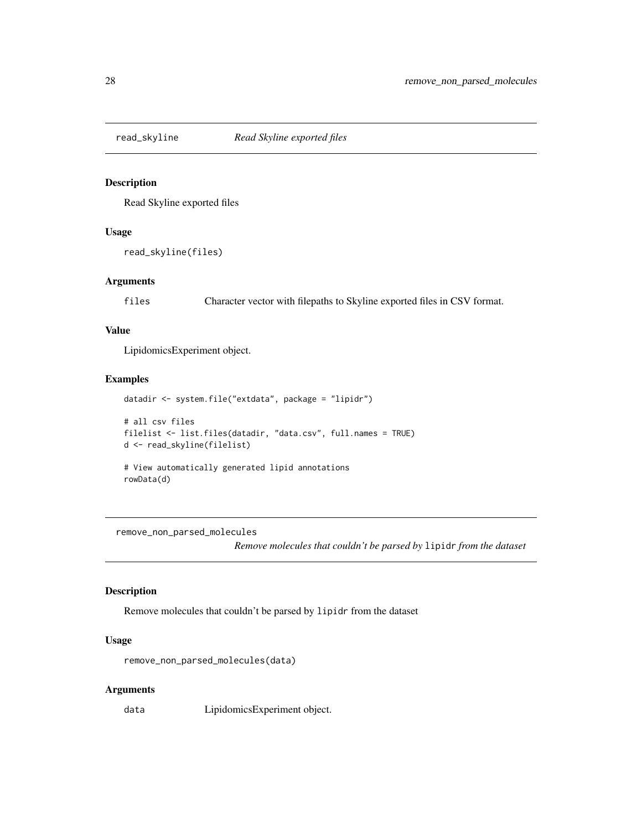<span id="page-27-0"></span>

Read Skyline exported files

#### Usage

read\_skyline(files)

#### Arguments

files Character vector with filepaths to Skyline exported files in CSV format.

### Value

LipidomicsExperiment object.

### Examples

```
datadir <- system.file("extdata", package = "lipidr")
# all csv files
filelist <- list.files(datadir, "data.csv", full.names = TRUE)
d <- read_skyline(filelist)
# View automatically generated lipid annotations
rowData(d)
```
remove\_non\_parsed\_molecules

*Remove molecules that couldn't be parsed by* lipidr *from the dataset*

#### Description

Remove molecules that couldn't be parsed by lipidr from the dataset

### Usage

remove\_non\_parsed\_molecules(data)

#### Arguments

data LipidomicsExperiment object.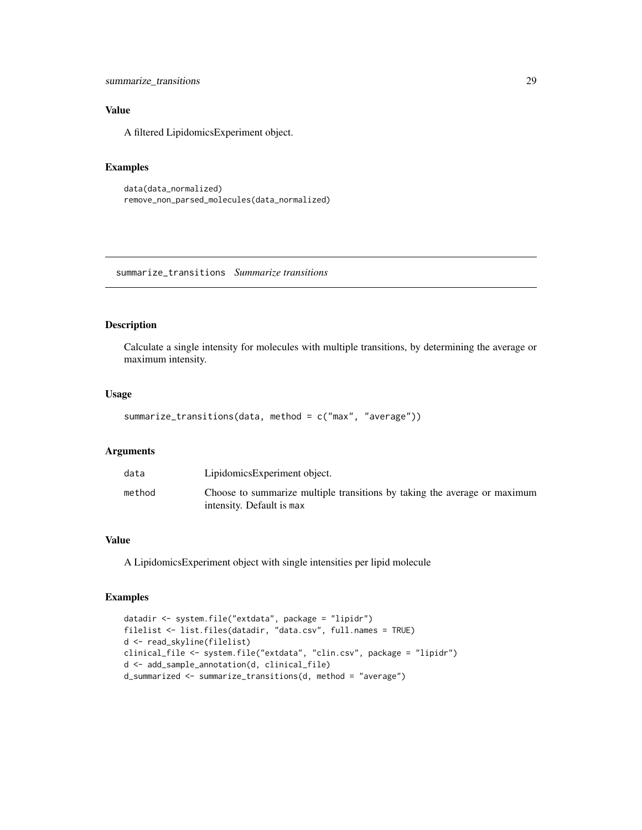### <span id="page-28-0"></span>Value

A filtered LipidomicsExperiment object.

### Examples

```
data(data_normalized)
remove_non_parsed_molecules(data_normalized)
```
summarize\_transitions *Summarize transitions*

### Description

Calculate a single intensity for molecules with multiple transitions, by determining the average or maximum intensity.

#### Usage

```
summarize_transitions(data, method = c("max", "average"))
```
#### Arguments

| data   | LipidomicsExperiment object.                                                                           |
|--------|--------------------------------------------------------------------------------------------------------|
| method | Choose to summarize multiple transitions by taking the average or maximum<br>intensity. Default is max |

### Value

A LipidomicsExperiment object with single intensities per lipid molecule

```
datadir <- system.file("extdata", package = "lipidr")
filelist <- list.files(datadir, "data.csv", full.names = TRUE)
d <- read_skyline(filelist)
clinical_file <- system.file("extdata", "clin.csv", package = "lipidr")
d <- add_sample_annotation(d, clinical_file)
d_summarized <- summarize_transitions(d, method = "average")
```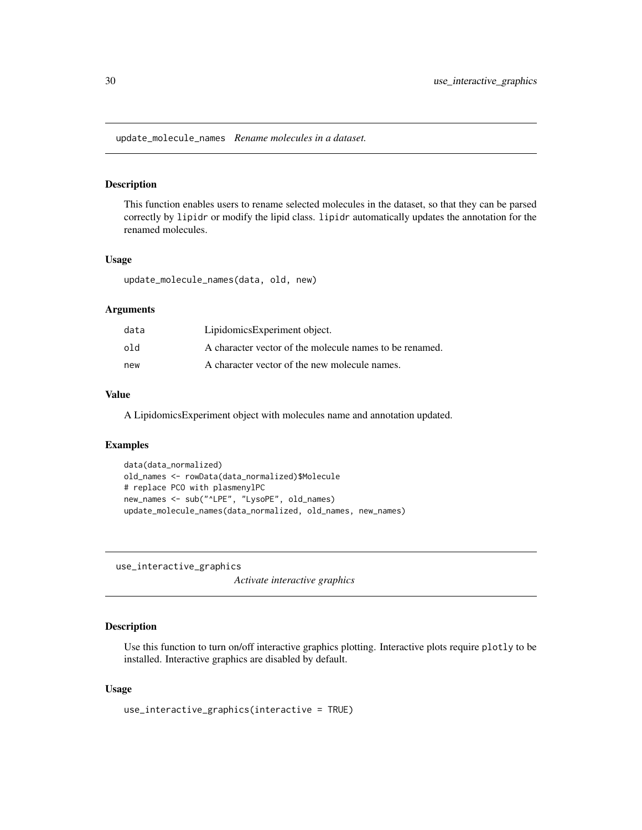<span id="page-29-0"></span>update\_molecule\_names *Rename molecules in a dataset.*

### Description

This function enables users to rename selected molecules in the dataset, so that they can be parsed correctly by lipidr or modify the lipid class. lipidr automatically updates the annotation for the renamed molecules.

#### Usage

update\_molecule\_names(data, old, new)

#### Arguments

| data | LipidomicsExperiment object.                            |
|------|---------------------------------------------------------|
| hſo  | A character vector of the molecule names to be renamed. |
| new  | A character vector of the new molecule names.           |

#### Value

A LipidomicsExperiment object with molecules name and annotation updated.

#### Examples

```
data(data_normalized)
old_names <- rowData(data_normalized)$Molecule
# replace PCO with plasmenylPC
new_names <- sub("^LPE", "LysoPE", old_names)
update_molecule_names(data_normalized, old_names, new_names)
```
use\_interactive\_graphics

*Activate interactive graphics*

### Description

Use this function to turn on/off interactive graphics plotting. Interactive plots require plotly to be installed. Interactive graphics are disabled by default.

#### Usage

```
use_interactive_graphics(interactive = TRUE)
```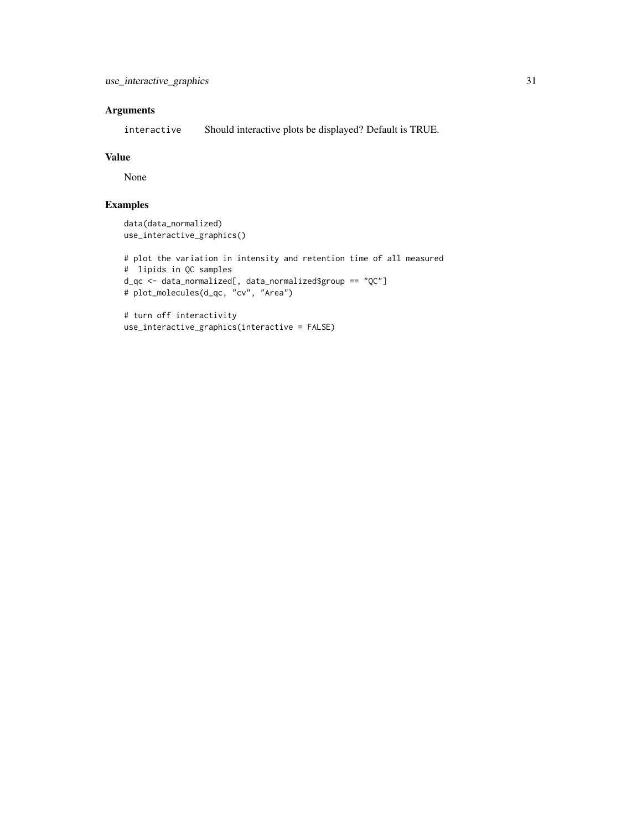### Arguments

interactive Should interactive plots be displayed? Default is TRUE.

#### Value

None

```
data(data_normalized)
use_interactive_graphics()
```

```
# plot the variation in intensity and retention time of all measured
# lipids in QC samples
d_qc <- data_normalized[, data_normalized$group == "QC"]
# plot_molecules(d_qc, "cv", "Area")
```

```
# turn off interactivity
use_interactive_graphics(interactive = FALSE)
```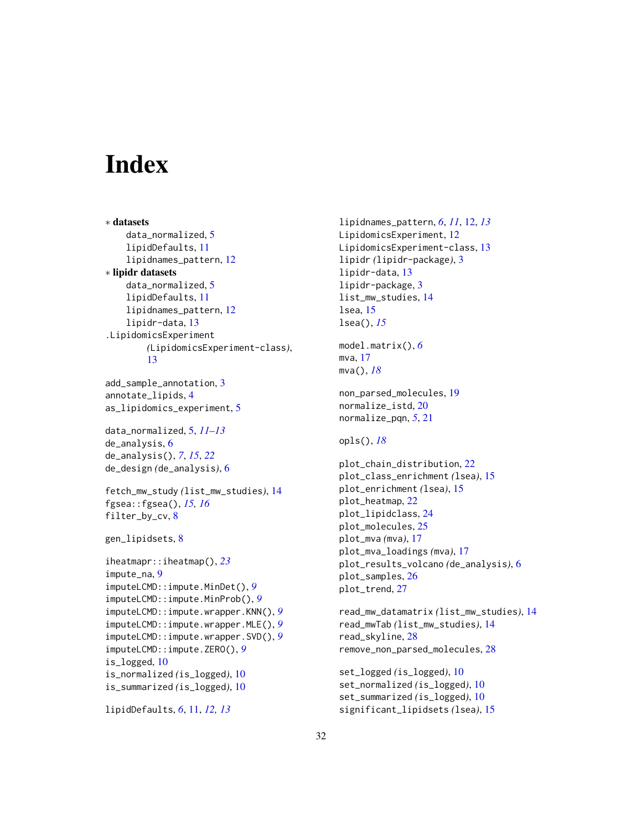# <span id="page-31-0"></span>**Index**

∗ datasets data\_normalized, [5](#page-4-0) lipidDefaults, [11](#page-10-0) lipidnames\_pattern, [12](#page-11-0) ∗ lipidr datasets data normalized.  $5$ lipidDefaults, [11](#page-10-0) lipidnames\_pattern, [12](#page-11-0) lipidr-data, [13](#page-12-0) .LipidomicsExperiment *(*LipidomicsExperiment-class*)*, [13](#page-12-0)

add\_sample\_annotation, [3](#page-2-0) annotate\_lipids, [4](#page-3-0) as\_lipidomics\_experiment, [5](#page-4-0)

data\_normalized, [5,](#page-4-0) *[11–](#page-10-0)[13](#page-12-0)* de\_analysis, [6](#page-5-0) de\_analysis(), *[7](#page-6-0)*, *[15](#page-14-0)*, *[22](#page-21-0)* de\_design *(*de\_analysis*)*, [6](#page-5-0)

```
fetch_mw_study (list_mw_studies), 14
fgsea::fgsea(), 15, 16
filter_by_cv, 8
```

```
gen_lipidsets, 8
```

```
iheatmapr::iheatmap(), 23
impute_na, 9
imputeLCMD::impute.MinDet(), 9
imputeLCMD::impute.MinProb(), 9
imputeLCMD::impute.wrapper.KNN(), 9
imputeLCMD::impute.wrapper.MLE(), 9
imputeLCMD::impute.wrapper.SVD(), 9
imputeLCMD::impute.ZERO(), 9
is_logged, 10
is_normalized (is_logged), 10
is_summarized (is_logged), 10
```

```
lipidDefaults, 6, 11, 12, 13
```
lipidnames\_pattern, *[6](#page-5-0)*, *[11](#page-10-0)*, [12,](#page-11-0) *[13](#page-12-0)* LipidomicsExperiment, [12](#page-11-0) LipidomicsExperiment-class, [13](#page-12-0) lipidr *(*lipidr-package*)*, [3](#page-2-0) lipidr-data, [13](#page-12-0) lipidr-package, [3](#page-2-0) list\_mw\_studies, [14](#page-13-0) lsea, [15](#page-14-0) lsea(), *[15](#page-14-0)* model.matrix(), *[6](#page-5-0)* mva, [17](#page-16-0) mva(), *[18](#page-17-0)* non\_parsed\_molecules, [19](#page-18-0) normalize\_istd, [20](#page-19-0) normalize\_pqn, *[5](#page-4-0)*, [21](#page-20-0) opls(), *[18](#page-17-0)* plot\_chain\_distribution, [22](#page-21-0) plot\_class\_enrichment *(*lsea*)*, [15](#page-14-0) plot\_enrichment *(*lsea*)*, [15](#page-14-0) plot\_heatmap, [22](#page-21-0) plot\_lipidclass, [24](#page-23-0) plot\_molecules, [25](#page-24-0) plot\_mva *(*mva*)*, [17](#page-16-0) plot\_mva\_loadings *(*mva*)*, [17](#page-16-0) plot\_results\_volcano *(*de\_analysis*)*, [6](#page-5-0) plot\_samples, [26](#page-25-0) plot\_trend, [27](#page-26-0) read\_mw\_datamatrix *(*list\_mw\_studies*)*, [14](#page-13-0) read\_mwTab *(*list\_mw\_studies*)*, [14](#page-13-0) read\_skyline, [28](#page-27-0) remove\_non\_parsed\_molecules, [28](#page-27-0) set\_logged *(*is\_logged*)*, [10](#page-9-0)

set\_normalized *(*is\_logged*)*, [10](#page-9-0) set\_summarized *(*is\_logged*)*, [10](#page-9-0) significant\_lipidsets *(*lsea*)*, [15](#page-14-0)